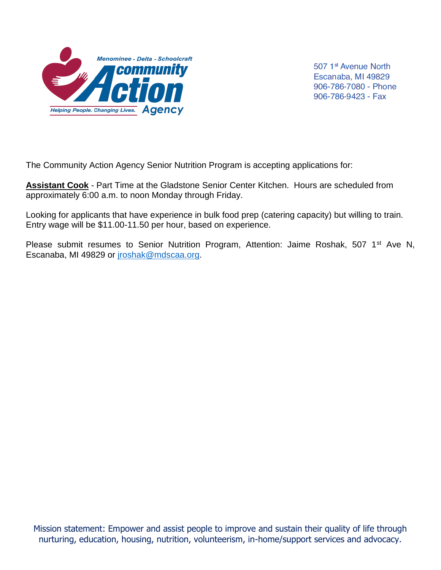

507 1<sup>st</sup> Avenue North Escanaba, MI 49829 906-786-7080 - Phone 906-786-9423 - Fax

The Community Action Agency Senior Nutrition Program is accepting applications for:

**Assistant Cook** - Part Time at the Gladstone Senior Center Kitchen. Hours are scheduled from approximately 6:00 a.m. to noon Monday through Friday.

Looking for applicants that have experience in bulk food prep (catering capacity) but willing to train. Entry wage will be \$11.00-11.50 per hour, based on experience.

Please submit resumes to Senior Nutrition Program, Attention: Jaime Roshak, 507 1<sup>st</sup> Ave N, Escanaba, MI 49829 or [jroshak@mdscaa.org.](mailto:jroshak@mdscaa.org)

Mission statement: Empower and assist people to improve and sustain their quality of life through nurturing, education, housing, nutrition, volunteerism, in-home/support services and advocacy.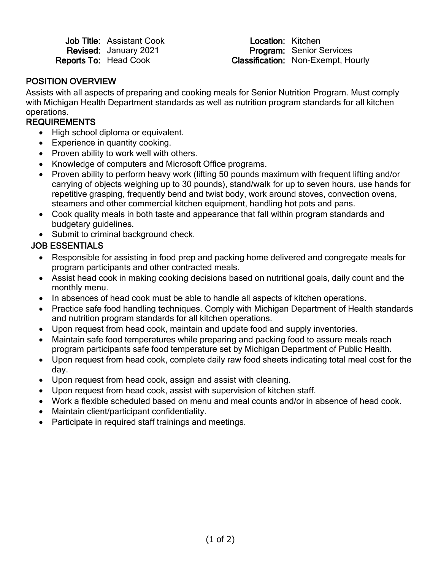| <b>Job Title: Assistant Cook</b> |
|----------------------------------|
| Revised: January 2021            |
| <b>Reports To: Head Cook</b>     |

Location: Kitchen Revised: January 2021 **Program:** Senior Services<br>
Reports To: Head Cook **Classification:** Non-Exempt. Ho Classification: Non-Exempt, Hourly

#### POSITION OVERVIEW

Assists with all aspects of preparing and cooking meals for Senior Nutrition Program. Must comply with Michigan Health Department standards as well as nutrition program standards for all kitchen operations.

#### **REQUIREMENTS**

- High school diploma or equivalent.
- Experience in quantity cooking.
- Proven ability to work well with others.
- Knowledge of computers and Microsoft Office programs.
- Proven ability to perform heavy work (lifting 50 pounds maximum with frequent lifting and/or carrying of objects weighing up to 30 pounds), stand/walk for up to seven hours, use hands for repetitive grasping, frequently bend and twist body, work around stoves, convection ovens, steamers and other commercial kitchen equipment, handling hot pots and pans.
- Cook quality meals in both taste and appearance that fall within program standards and budgetary guidelines.
- Submit to criminal background check.

# JOB ESSENTIALS

- Responsible for assisting in food prep and packing home delivered and congregate meals for program participants and other contracted meals.
- Assist head cook in making cooking decisions based on nutritional goals, daily count and the monthly menu.
- In absences of head cook must be able to handle all aspects of kitchen operations.
- Practice safe food handling techniques. Comply with Michigan Department of Health standards and nutrition program standards for all kitchen operations.
- Upon request from head cook, maintain and update food and supply inventories.
- Maintain safe food temperatures while preparing and packing food to assure meals reach program participants safe food temperature set by Michigan Department of Public Health.
- Upon request from head cook, complete daily raw food sheets indicating total meal cost for the day.
- Upon request from head cook, assign and assist with cleaning.
- Upon request from head cook, assist with supervision of kitchen staff.
- Work a flexible scheduled based on menu and meal counts and/or in absence of head cook.
- Maintain client/participant confidentiality.
- Participate in required staff trainings and meetings.